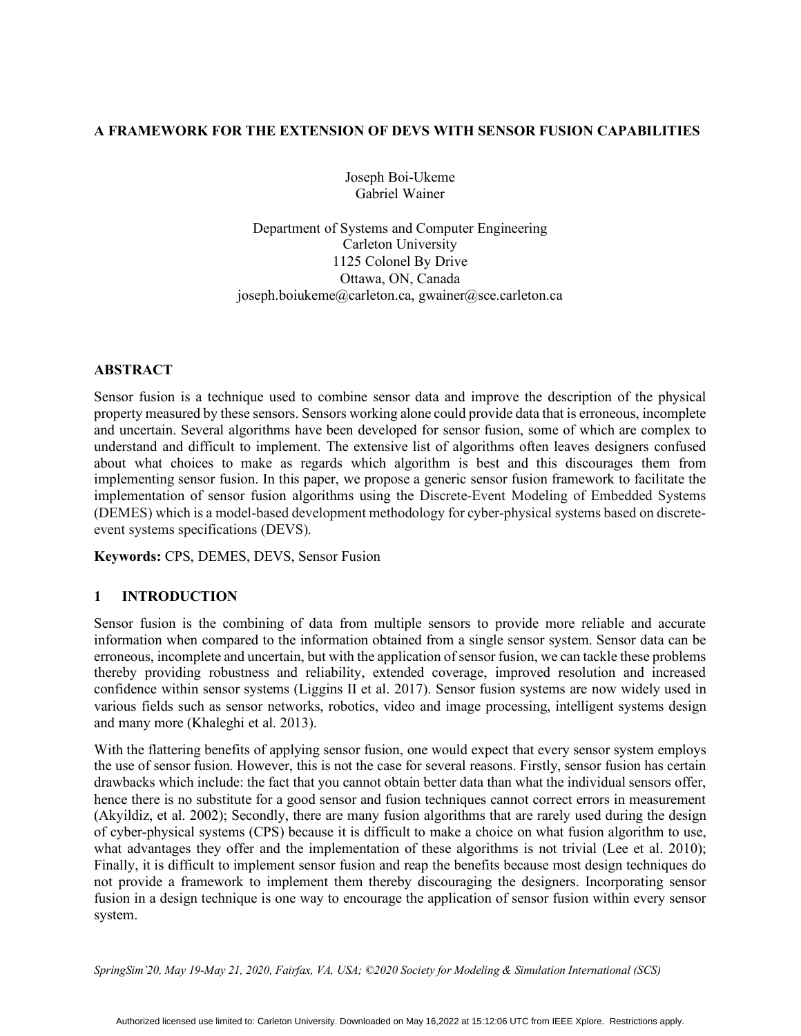# **A FRAMEWORK FOR THE EXTENSION OF DEVS WITH SENSOR FUSION CAPABILITIES**

Joseph Boi-Ukeme Gabriel Wainer

Department of Systems and Computer Engineering Carleton University 1125 Colonel By Drive Ottawa, ON, Canada joseph.boiukeme@carleton.ca, gwainer@sce.carleton.ca

#### **ABSTRACT**

Sensor fusion is a technique used to combine sensor data and improve the description of the physical property measured by these sensors. Sensors working alone could provide data that is erroneous, incomplete and uncertain. Several algorithms have been developed for sensor fusion, some of which are complex to understand and difficult to implement. The extensive list of algorithms often leaves designers confused about what choices to make as regards which algorithm is best and this discourages them from implementing sensor fusion. In this paper, we propose a generic sensor fusion framework to facilitate the implementation of sensor fusion algorithms using the Discrete-Event Modeling of Embedded Systems (DEMES) which is a model-based development methodology for cyber-physical systems based on discreteevent systems specifications (DEVS).

**Keywords:** CPS, DEMES, DEVS, Sensor Fusion

### **1 INTRODUCTION**

Sensor fusion is the combining of data from multiple sensors to provide more reliable and accurate information when compared to the information obtained from a single sensor system. Sensor data can be erroneous, incomplete and uncertain, but with the application of sensor fusion, we can tackle these problems thereby providing robustness and reliability, extended coverage, improved resolution and increased confidence within sensor systems (Liggins II et al. 2017). Sensor fusion systems are now widely used in various fields such as sensor networks, robotics, video and image processing, intelligent systems design and many more (Khaleghi et al. 2013).

With the flattering benefits of applying sensor fusion, one would expect that every sensor system employs the use of sensor fusion. However, this is not the case for several reasons. Firstly, sensor fusion has certain drawbacks which include: the fact that you cannot obtain better data than what the individual sensors offer, hence there is no substitute for a good sensor and fusion techniques cannot correct errors in measurement (Akyildiz, et al. 2002); Secondly, there are many fusion algorithms that are rarely used during the design of cyber-physical systems (CPS) because it is difficult to make a choice on what fusion algorithm to use, what advantages they offer and the implementation of these algorithms is not trivial (Lee et al. 2010); Finally, it is difficult to implement sensor fusion and reap the benefits because most design techniques do not provide a framework to implement them thereby discouraging the designers. Incorporating sensor fusion in a design technique is one way to encourage the application of sensor fusion within every sensor system.

*SpringSim'20, May 19-May 21, 2020, Fairfax, VA, USA; ©2020 Society for Modeling & Simulation International (SCS)*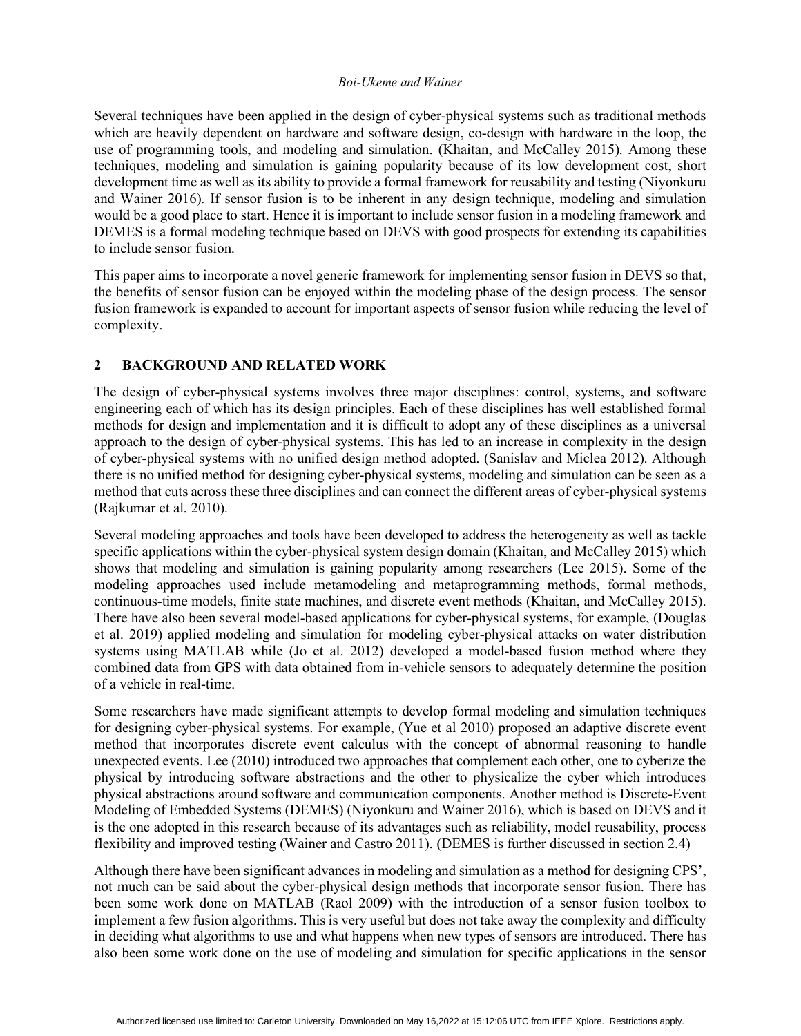Several techniques have been applied in the design of cyber-physical systems such as traditional methods which are heavily dependent on hardware and software design, co-design with hardware in the loop, the use of programming tools, and modeling and simulation. (Khaitan, and McCalley 2015). Among these techniques, modeling and simulation is gaining popularity because of its low development cost, short development time as well as its ability to provide a formal framework for reusability and testing (Niyonkuru and Wainer 2016). If sensor fusion is to be inherent in any design technique, modeling and simulation would be a good place to start. Hence it is important to include sensor fusion in a modeling framework and DEMES is a formal modeling technique based on DEVS with good prospects for extending its capabilities to include sensor fusion.

This paper aims to incorporate a novel generic framework for implementing sensor fusion in DEVS so that, the benefits of sensor fusion can be enjoyed within the modeling phase of the design process. The sensor fusion framework is expanded to account for important aspects of sensor fusion while reducing the level of complexity.

### **2 BACKGROUND AND RELATED WORK**

The design of cyber-physical systems involves three major disciplines: control, systems, and software engineering each of which has its design principles. Each of these disciplines has well established formal methods for design and implementation and it is difficult to adopt any of these disciplines as a universal approach to the design of cyber-physical systems. This has led to an increase in complexity in the design of cyber-physical systems with no unified design method adopted. (Sanislav and Miclea 2012). Although there is no unified method for designing cyber-physical systems, modeling and simulation can be seen as a method that cuts across these three disciplines and can connect the different areas of cyber-physical systems (Rajkumar et al. 2010).

Several modeling approaches and tools have been developed to address the heterogeneity as well as tackle specific applications within the cyber-physical system design domain (Khaitan, and McCalley 2015) which shows that modeling and simulation is gaining popularity among researchers (Lee 2015). Some of the modeling approaches used include metamodeling and metaprogramming methods, formal methods, continuous-time models, finite state machines, and discrete event methods (Khaitan, and McCalley 2015). There have also been several model-based applications for cyber-physical systems, for example, (Douglas et al. 2019) applied modeling and simulation for modeling cyber-physical attacks on water distribution systems using MATLAB while (Jo et al. 2012) developed a model-based fusion method where they combined data from GPS with data obtained from in-vehicle sensors to adequately determine the position of a vehicle in real-time.

Some researchers have made significant attempts to develop formal modeling and simulation techniques for designing cyber-physical systems. For example, (Yue et al 2010) proposed an adaptive discrete event method that incorporates discrete event calculus with the concept of abnormal reasoning to handle unexpected events. Lee (2010) introduced two approaches that complement each other, one to cyberize the physical by introducing software abstractions and the other to physicalize the cyber which introduces physical abstractions around software and communication components. Another method is Discrete-Event Modeling of Embedded Systems (DEMES) (Niyonkuru and Wainer 2016), which is based on DEVS and it is the one adopted in this research because of its advantages such as reliability, model reusability, process flexibility and improved testing (Wainer and Castro 2011). (DEMES is further discussed in section 2.4)

Although there have been significant advances in modeling and simulation as a method for designing CPS', not much can be said about the cyber-physical design methods that incorporate sensor fusion. There has been some work done on MATLAB (Raol 2009) with the introduction of a sensor fusion toolbox to implement a few fusion algorithms. This is very useful but does not take away the complexity and difficulty in deciding what algorithms to use and what happens when new types of sensors are introduced. There has also been some work done on the use of modeling and simulation for specific applications in the sensor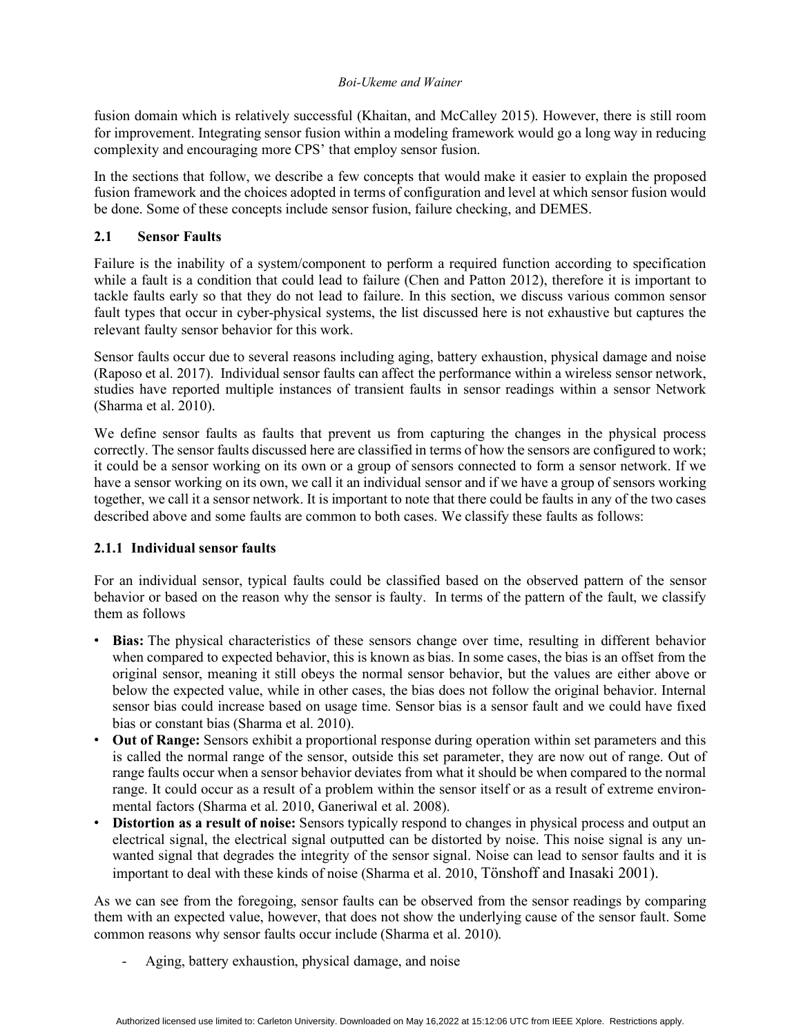fusion domain which is relatively successful (Khaitan, and McCalley 2015). However, there is still room for improvement. Integrating sensor fusion within a modeling framework would go a long way in reducing complexity and encouraging more CPS' that employ sensor fusion.

In the sections that follow, we describe a few concepts that would make it easier to explain the proposed fusion framework and the choices adopted in terms of configuration and level at which sensor fusion would be done. Some of these concepts include sensor fusion, failure checking, and DEMES.

# **2.1 Sensor Faults**

Failure is the inability of a system/component to perform a required function according to specification while a fault is a condition that could lead to failure (Chen and Patton 2012), therefore it is important to tackle faults early so that they do not lead to failure. In this section, we discuss various common sensor fault types that occur in cyber-physical systems, the list discussed here is not exhaustive but captures the relevant faulty sensor behavior for this work.

Sensor faults occur due to several reasons including aging, battery exhaustion, physical damage and noise (Raposo et al. 2017). Individual sensor faults can affect the performance within a wireless sensor network, studies have reported multiple instances of transient faults in sensor readings within a sensor Network (Sharma et al. 2010).

We define sensor faults as faults that prevent us from capturing the changes in the physical process correctly. The sensor faults discussed here are classified in terms of how the sensors are configured to work; it could be a sensor working on its own or a group of sensors connected to form a sensor network. If we have a sensor working on its own, we call it an individual sensor and if we have a group of sensors working together, we call it a sensor network. It is important to note that there could be faults in any of the two cases described above and some faults are common to both cases. We classify these faults as follows:

# **2.1.1 Individual sensor faults**

For an individual sensor, typical faults could be classified based on the observed pattern of the sensor behavior or based on the reason why the sensor is faulty. In terms of the pattern of the fault, we classify them as follows

- **Bias:** The physical characteristics of these sensors change over time, resulting in different behavior when compared to expected behavior, this is known as bias. In some cases, the bias is an offset from the original sensor, meaning it still obeys the normal sensor behavior, but the values are either above or below the expected value, while in other cases, the bias does not follow the original behavior. Internal sensor bias could increase based on usage time. Sensor bias is a sensor fault and we could have fixed bias or constant bias (Sharma et al. 2010).
- **Out of Range:** Sensors exhibit a proportional response during operation within set parameters and this is called the normal range of the sensor, outside this set parameter, they are now out of range. Out of range faults occur when a sensor behavior deviates from what it should be when compared to the normal range. It could occur as a result of a problem within the sensor itself or as a result of extreme environmental factors (Sharma et al. 2010, Ganeriwal et al. 2008).
- **Distortion as a result of noise:** Sensors typically respond to changes in physical process and output an electrical signal, the electrical signal outputted can be distorted by noise. This noise signal is any unwanted signal that degrades the integrity of the sensor signal. Noise can lead to sensor faults and it is important to deal with these kinds of noise (Sharma et al. 2010, Tönshoff and Inasaki 2001).

As we can see from the foregoing, sensor faults can be observed from the sensor readings by comparing them with an expected value, however, that does not show the underlying cause of the sensor fault. Some common reasons why sensor faults occur include (Sharma et al. 2010).

Aging, battery exhaustion, physical damage, and noise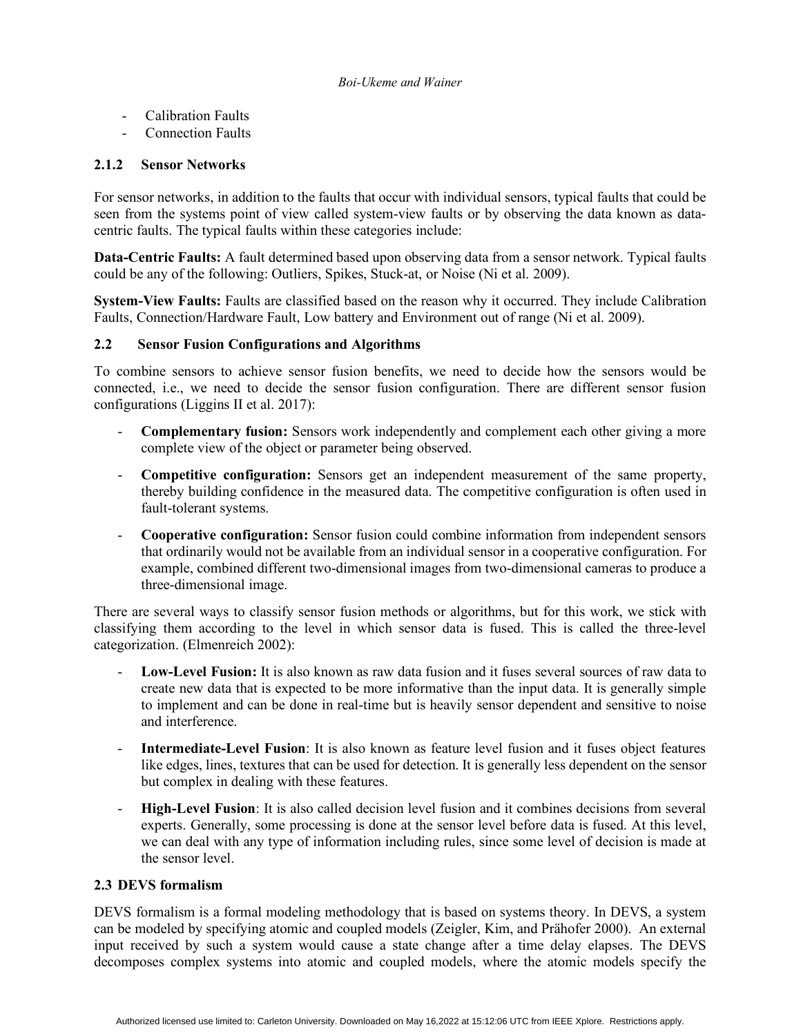- Calibration Faults
- Connection Faults

## **2.1.2 Sensor Networks**

For sensor networks, in addition to the faults that occur with individual sensors, typical faults that could be seen from the systems point of view called system-view faults or by observing the data known as datacentric faults. The typical faults within these categories include:

**Data-Centric Faults:** A fault determined based upon observing data from a sensor network. Typical faults could be any of the following: Outliers, Spikes, Stuck-at, or Noise (Ni et al. 2009).

**System-View Faults:** Faults are classified based on the reason why it occurred. They include Calibration Faults, Connection/Hardware Fault, Low battery and Environment out of range (Ni et al. 2009).

### **2.2 Sensor Fusion Configurations and Algorithms**

To combine sensors to achieve sensor fusion benefits, we need to decide how the sensors would be connected, i.e., we need to decide the sensor fusion configuration. There are different sensor fusion configurations (Liggins II et al. 2017):

- **Complementary fusion:** Sensors work independently and complement each other giving a more complete view of the object or parameter being observed.
- **Competitive configuration:** Sensors get an independent measurement of the same property, thereby building confidence in the measured data. The competitive configuration is often used in fault-tolerant systems.
- **Cooperative configuration:** Sensor fusion could combine information from independent sensors that ordinarily would not be available from an individual sensor in a cooperative configuration. For example, combined different two-dimensional images from two-dimensional cameras to produce a three-dimensional image.

There are several ways to classify sensor fusion methods or algorithms, but for this work, we stick with classifying them according to the level in which sensor data is fused. This is called the three-level categorization. (Elmenreich 2002):

- **Low-Level Fusion:** It is also known as raw data fusion and it fuses several sources of raw data to create new data that is expected to be more informative than the input data. It is generally simple to implement and can be done in real-time but is heavily sensor dependent and sensitive to noise and interference.
- **Intermediate-Level Fusion**: It is also known as feature level fusion and it fuses object features like edges, lines, textures that can be used for detection. It is generally less dependent on the sensor but complex in dealing with these features.
- **High-Level Fusion**: It is also called decision level fusion and it combines decisions from several experts. Generally, some processing is done at the sensor level before data is fused. At this level, we can deal with any type of information including rules, since some level of decision is made at the sensor level.

### **2.3 DEVS formalism**

DEVS formalism is a formal modeling methodology that is based on systems theory. In DEVS, a system can be modeled by specifying atomic and coupled models (Zeigler, Kim, and Prähofer 2000). An external input received by such a system would cause a state change after a time delay elapses. The DEVS decomposes complex systems into atomic and coupled models, where the atomic models specify the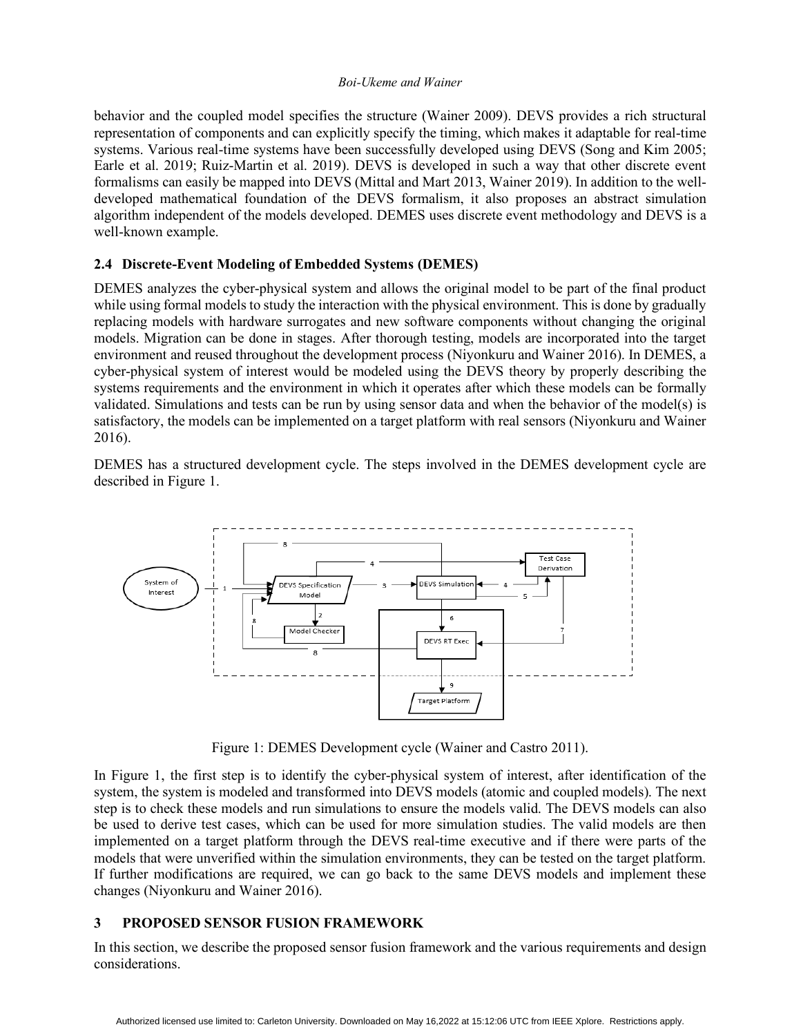behavior and the coupled model specifies the structure (Wainer 2009). DEVS provides a rich structural representation of components and can explicitly specify the timing, which makes it adaptable for real-time systems. Various real-time systems have been successfully developed using DEVS (Song and Kim 2005; Earle et al. 2019; Ruiz-Martin et al. 2019). DEVS is developed in such a way that other discrete event formalisms can easily be mapped into DEVS (Mittal and Mart 2013, Wainer 2019). In addition to the welldeveloped mathematical foundation of the DEVS formalism, it also proposes an abstract simulation algorithm independent of the models developed. DEMES uses discrete event methodology and DEVS is a well-known example.

# **2.4 Discrete-Event Modeling of Embedded Systems (DEMES)**

DEMES analyzes the cyber-physical system and allows the original model to be part of the final product while using formal models to study the interaction with the physical environment. This is done by gradually replacing models with hardware surrogates and new software components without changing the original models. Migration can be done in stages. After thorough testing, models are incorporated into the target environment and reused throughout the development process (Niyonkuru and Wainer 2016). In DEMES, a cyber-physical system of interest would be modeled using the DEVS theory by properly describing the systems requirements and the environment in which it operates after which these models can be formally validated. Simulations and tests can be run by using sensor data and when the behavior of the model(s) is satisfactory, the models can be implemented on a target platform with real sensors (Niyonkuru and Wainer 2016).

DEMES has a structured development cycle. The steps involved in the DEMES development cycle are described in Figure 1.



Figure 1: DEMES Development cycle (Wainer and Castro 2011).

In Figure 1, the first step is to identify the cyber-physical system of interest, after identification of the system, the system is modeled and transformed into DEVS models (atomic and coupled models). The next step is to check these models and run simulations to ensure the models valid. The DEVS models can also be used to derive test cases, which can be used for more simulation studies. The valid models are then implemented on a target platform through the DEVS real-time executive and if there were parts of the models that were unverified within the simulation environments, they can be tested on the target platform. If further modifications are required, we can go back to the same DEVS models and implement these changes (Niyonkuru and Wainer 2016).

# **3 PROPOSED SENSOR FUSION FRAMEWORK**

In this section, we describe the proposed sensor fusion framework and the various requirements and design considerations.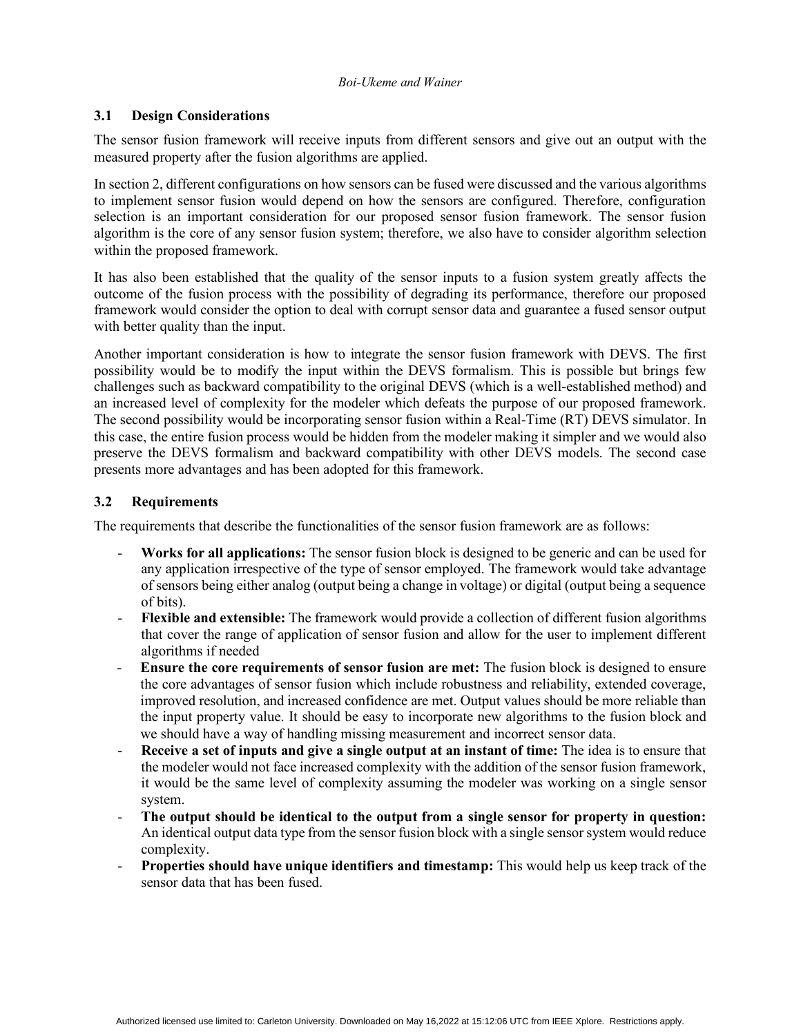## **3.1 Design Considerations**

The sensor fusion framework will receive inputs from different sensors and give out an output with the measured property after the fusion algorithms are applied.

In section 2, different configurations on how sensors can be fused were discussed and the various algorithms to implement sensor fusion would depend on how the sensors are configured. Therefore, configuration selection is an important consideration for our proposed sensor fusion framework. The sensor fusion algorithm is the core of any sensor fusion system; therefore, we also have to consider algorithm selection within the proposed framework.

It has also been established that the quality of the sensor inputs to a fusion system greatly affects the outcome of the fusion process with the possibility of degrading its performance, therefore our proposed framework would consider the option to deal with corrupt sensor data and guarantee a fused sensor output with better quality than the input.

Another important consideration is how to integrate the sensor fusion framework with DEVS. The first possibility would be to modify the input within the DEVS formalism. This is possible but brings few challenges such as backward compatibility to the original DEVS (which is a well-established method) and an increased level of complexity for the modeler which defeats the purpose of our proposed framework. The second possibility would be incorporating sensor fusion within a Real-Time (RT) DEVS simulator. In this case, the entire fusion process would be hidden from the modeler making it simpler and we would also preserve the DEVS formalism and backward compatibility with other DEVS models. The second case presents more advantages and has been adopted for this framework.

# **3.2 Requirements**

The requirements that describe the functionalities of the sensor fusion framework are as follows:

- **Works for all applications:** The sensor fusion block is designed to be generic and can be used for any application irrespective of the type of sensor employed. The framework would take advantage of sensors being either analog (output being a change in voltage) or digital (output being a sequence of bits).
- **Flexible and extensible:** The framework would provide a collection of different fusion algorithms that cover the range of application of sensor fusion and allow for the user to implement different algorithms if needed
- **Ensure the core requirements of sensor fusion are met:** The fusion block is designed to ensure the core advantages of sensor fusion which include robustness and reliability, extended coverage, improved resolution, and increased confidence are met. Output values should be more reliable than the input property value. It should be easy to incorporate new algorithms to the fusion block and we should have a way of handling missing measurement and incorrect sensor data.
- **Receive a set of inputs and give a single output at an instant of time:** The idea is to ensure that the modeler would not face increased complexity with the addition of the sensor fusion framework, it would be the same level of complexity assuming the modeler was working on a single sensor system.
- **The output should be identical to the output from a single sensor for property in question:**  An identical output data type from the sensor fusion block with a single sensor system would reduce complexity.
- **Properties should have unique identifiers and timestamp:** This would help us keep track of the sensor data that has been fused.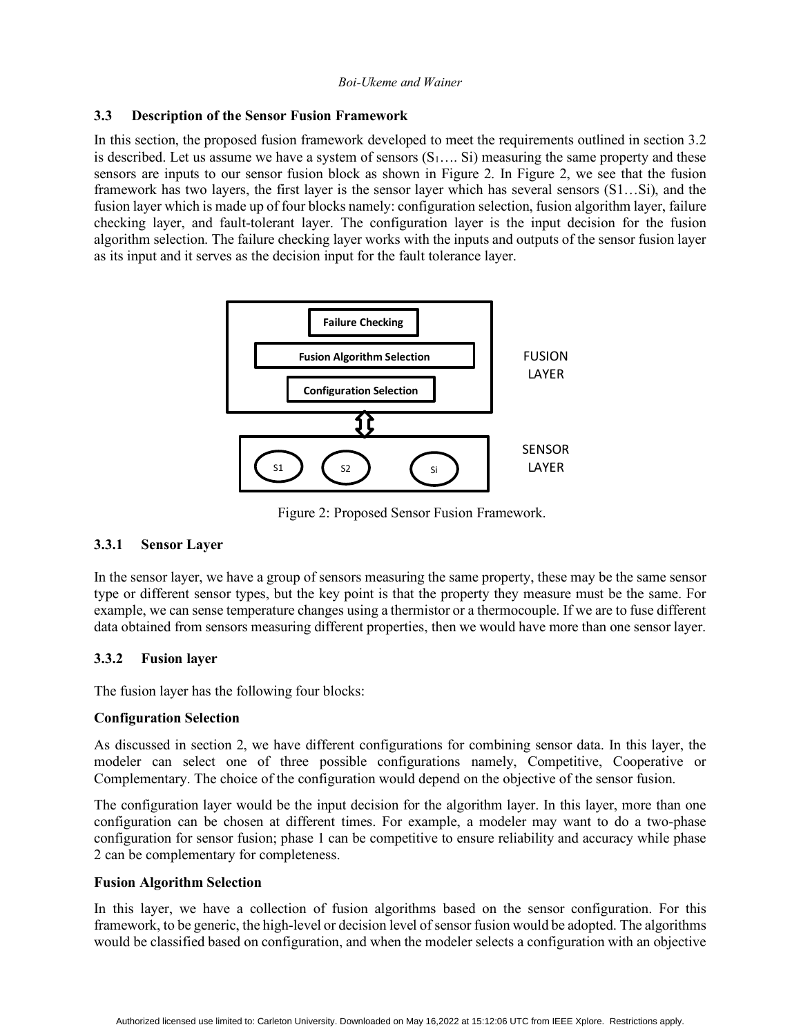### **3.3 Description of the Sensor Fusion Framework**

In this section, the proposed fusion framework developed to meet the requirements outlined in section 3.2 is described. Let us assume we have a system of sensors  $(S_1, \ldots, S_i)$  measuring the same property and these sensors are inputs to our sensor fusion block as shown in Figure 2. In Figure 2, we see that the fusion framework has two layers, the first layer is the sensor layer which has several sensors (S1…Si), and the fusion layer which is made up of four blocks namely: configuration selection, fusion algorithm layer, failure checking layer, and fault-tolerant layer. The configuration layer is the input decision for the fusion algorithm selection. The failure checking layer works with the inputs and outputs of the sensor fusion layer as its input and it serves as the decision input for the fault tolerance layer.



Figure 2: Proposed Sensor Fusion Framework.

### **3.3.1 Sensor Layer**

In the sensor layer, we have a group of sensors measuring the same property, these may be the same sensor type or different sensor types, but the key point is that the property they measure must be the same. For example, we can sense temperature changes using a thermistor or a thermocouple. If we are to fuse different data obtained from sensors measuring different properties, then we would have more than one sensor layer.

# **3.3.2 Fusion layer**

The fusion layer has the following four blocks:

### **Configuration Selection**

As discussed in section 2, we have different configurations for combining sensor data. In this layer, the modeler can select one of three possible configurations namely, Competitive, Cooperative or Complementary. The choice of the configuration would depend on the objective of the sensor fusion.

The configuration layer would be the input decision for the algorithm layer. In this layer, more than one configuration can be chosen at different times. For example, a modeler may want to do a two-phase configuration for sensor fusion; phase 1 can be competitive to ensure reliability and accuracy while phase 2 can be complementary for completeness.

### **Fusion Algorithm Selection**

In this layer, we have a collection of fusion algorithms based on the sensor configuration. For this framework, to be generic, the high-level or decision level of sensor fusion would be adopted. The algorithms would be classified based on configuration, and when the modeler selects a configuration with an objective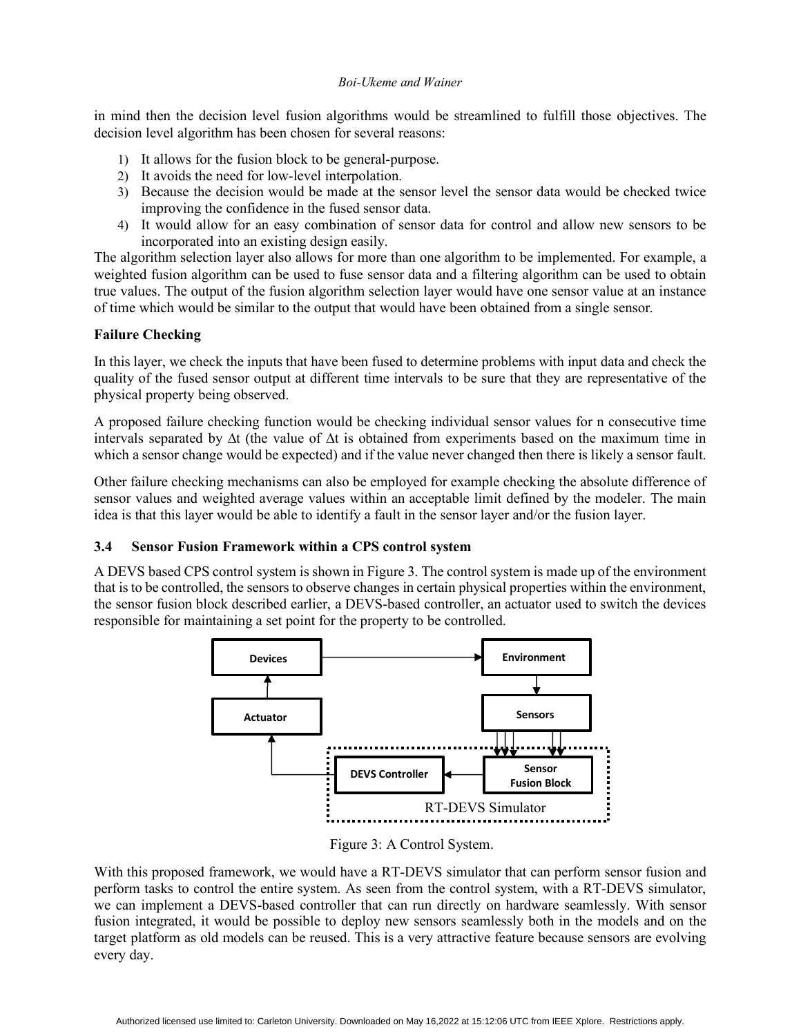in mind then the decision level fusion algorithms would be streamlined to fulfill those objectives. The decision level algorithm has been chosen for several reasons:

- 1) It allows for the fusion block to be general-purpose.
- 2) It avoids the need for low-level interpolation.
- 3) Because the decision would be made at the sensor level the sensor data would be checked twice improving the confidence in the fused sensor data.
- 4) It would allow for an easy combination of sensor data for control and allow new sensors to be incorporated into an existing design easily.

The algorithm selection layer also allows for more than one algorithm to be implemented. For example, a weighted fusion algorithm can be used to fuse sensor data and a filtering algorithm can be used to obtain true values. The output of the fusion algorithm selection layer would have one sensor value at an instance of time which would be similar to the output that would have been obtained from a single sensor.

# **Failure Checking**

In this layer, we check the inputs that have been fused to determine problems with input data and check the quality of the fused sensor output at different time intervals to be sure that they are representative of the physical property being observed.

A proposed failure checking function would be checking individual sensor values for n consecutive time intervals separated by ∆t (the value of ∆t is obtained from experiments based on the maximum time in which a sensor change would be expected) and if the value never changed then there is likely a sensor fault.

Other failure checking mechanisms can also be employed for example checking the absolute difference of sensor values and weighted average values within an acceptable limit defined by the modeler. The main idea is that this layer would be able to identify a fault in the sensor layer and/or the fusion layer.

# **3.4 Sensor Fusion Framework within a CPS control system**

A DEVS based CPS control system is shown in Figure 3. The control system is made up of the environment that is to be controlled, the sensors to observe changes in certain physical properties within the environment, the sensor fusion block described earlier, a DEVS-based controller, an actuator used to switch the devices responsible for maintaining a set point for the property to be controlled.



Figure 3: A Control System.

With this proposed framework, we would have a RT-DEVS simulator that can perform sensor fusion and perform tasks to control the entire system. As seen from the control system, with a RT-DEVS simulator, we can implement a DEVS-based controller that can run directly on hardware seamlessly. With sensor fusion integrated, it would be possible to deploy new sensors seamlessly both in the models and on the target platform as old models can be reused. This is a very attractive feature because sensors are evolving every day.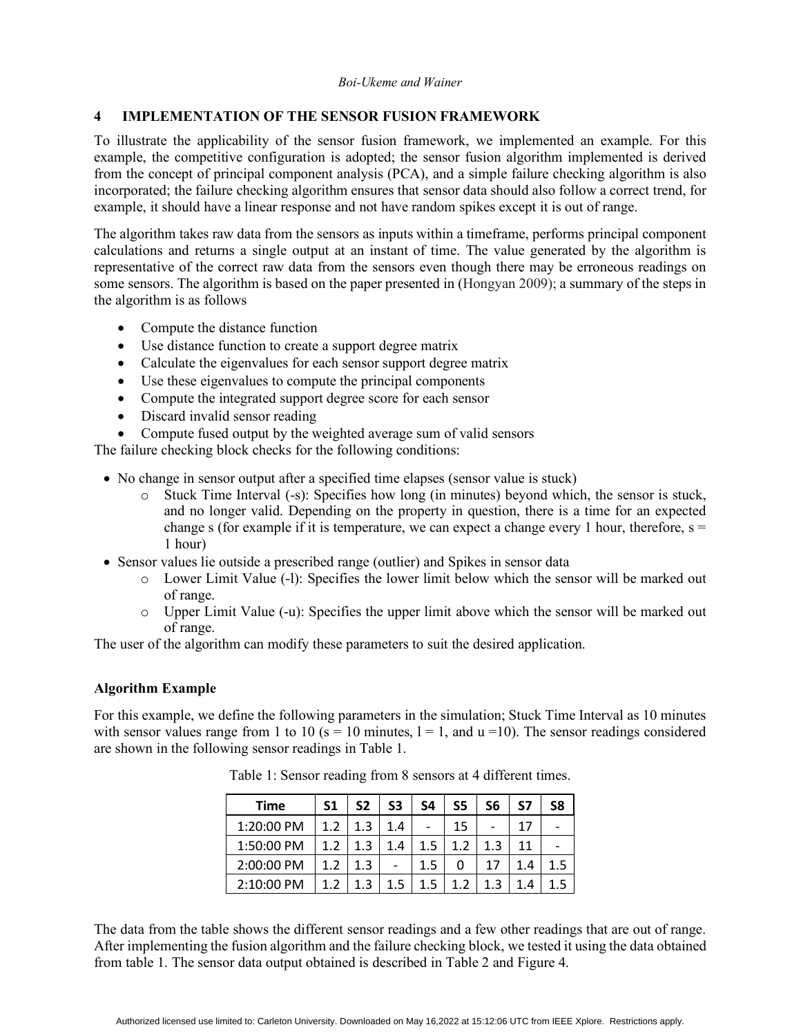### **4 IMPLEMENTATION OF THE SENSOR FUSION FRAMEWORK**

To illustrate the applicability of the sensor fusion framework, we implemented an example. For this example, the competitive configuration is adopted; the sensor fusion algorithm implemented is derived from the concept of principal component analysis (PCA), and a simple failure checking algorithm is also incorporated; the failure checking algorithm ensures that sensor data should also follow a correct trend, for example, it should have a linear response and not have random spikes except it is out of range.

The algorithm takes raw data from the sensors as inputs within a timeframe, performs principal component calculations and returns a single output at an instant of time. The value generated by the algorithm is representative of the correct raw data from the sensors even though there may be erroneous readings on some sensors. The algorithm is based on the paper presented in (Hongyan 2009); a summary of the steps in the algorithm is as follows

- Compute the distance function
- Use distance function to create a support degree matrix
- Calculate the eigenvalues for each sensor support degree matrix
- Use these eigenvalues to compute the principal components
- Compute the integrated support degree score for each sensor
- Discard invalid sensor reading
- Compute fused output by the weighted average sum of valid sensors

The failure checking block checks for the following conditions:

- No change in sensor output after a specified time elapses (sensor value is stuck)
	- o Stuck Time Interval (-s): Specifies how long (in minutes) beyond which, the sensor is stuck, and no longer valid. Depending on the property in question, there is a time for an expected change s (for example if it is temperature, we can expect a change every 1 hour, therefore,  $s =$ 1 hour)
- Sensor values lie outside a prescribed range (outlier) and Spikes in sensor data
	- o Lower Limit Value (-l): Specifies the lower limit below which the sensor will be marked out of range.
	- o Upper Limit Value (-u): Specifies the upper limit above which the sensor will be marked out of range.

The user of the algorithm can modify these parameters to suit the desired application.

### **Algorithm Example**

For this example, we define the following parameters in the simulation; Stuck Time Interval as 10 minutes with sensor values range from 1 to 10 ( $s = 10$  minutes,  $l = 1$ , and  $u = 10$ ). The sensor readings considered are shown in the following sensor readings in Table 1.

| <b>Time</b> | S <sub>1</sub> | S2  | S3  | S4  | S5  | S6  | S7 | S8 |
|-------------|----------------|-----|-----|-----|-----|-----|----|----|
| 1:20:00 PM  | 1.2            | 1.3 | 1.4 |     | 15  |     | 17 |    |
| 1:50:00 PM  | 1.2            | 1.3 | 1.4 | 1.5 | 1.2 | 1.3 | 11 |    |
| 2:00:00 PM  | 1.2            | 1.3 |     | 1.5 |     |     |    |    |
| 2:10:00 PM  |                |     |     |     | 1)  |     |    |    |

Table 1: Sensor reading from 8 sensors at 4 different times.

The data from the table shows the different sensor readings and a few other readings that are out of range. After implementing the fusion algorithm and the failure checking block, we tested it using the data obtained from table 1. The sensor data output obtained is described in Table 2 and Figure 4.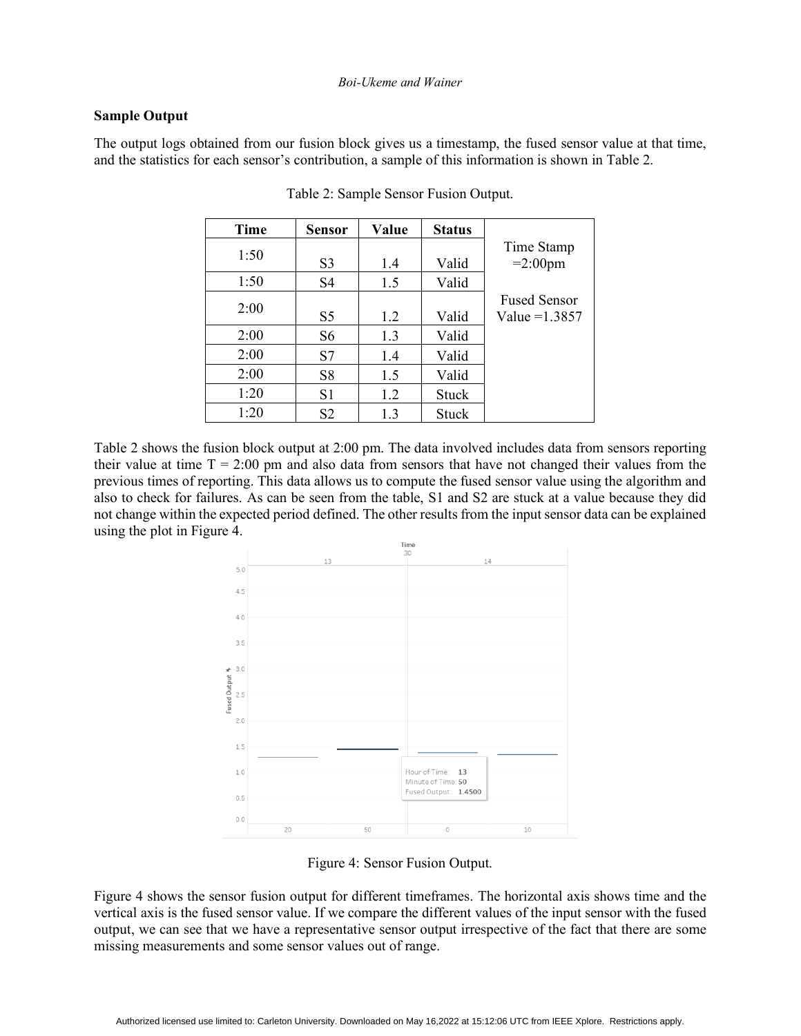### **Sample Output**

The output logs obtained from our fusion block gives us a timestamp, the fused sensor value at that time, and the statistics for each sensor's contribution, a sample of this information is shown in Table 2.

| Time | <b>Sensor</b>  | Value | <b>Status</b> |                     |
|------|----------------|-------|---------------|---------------------|
| 1:50 |                |       |               | Time Stamp          |
|      | S <sub>3</sub> | 1.4   | Valid         | $=2:00$ pm          |
| 1:50 | S <sub>4</sub> | 1.5   | Valid         |                     |
| 2:00 |                |       |               | <b>Fused Sensor</b> |
|      | S5             | 1.2   | Valid         | Value = $1.3857$    |
| 2:00 | S <sub>6</sub> | 1.3   | Valid         |                     |
| 2:00 | S7             | 1.4   | Valid         |                     |
| 2:00 | S8             | 1.5   | Valid         |                     |
| 1:20 | S1             | 1.2   | <b>Stuck</b>  |                     |
| 1:20 | S <sub>2</sub> | 1.3   | <b>Stuck</b>  |                     |

Table 2: Sample Sensor Fusion Output.

Table 2 shows the fusion block output at 2:00 pm. The data involved includes data from sensors reporting their value at time  $T = 2:00$  pm and also data from sensors that have not changed their values from the previous times of reporting. This data allows us to compute the fused sensor value using the algorithm and also to check for failures. As can be seen from the table, S1 and S2 are stuck at a value because they did not change within the expected period defined. The other results from the input sensor data can be explained using the plot in Figure 4.



Figure 4: Sensor Fusion Output.

Figure 4 shows the sensor fusion output for different timeframes. The horizontal axis shows time and the vertical axis is the fused sensor value. If we compare the different values of the input sensor with the fused output, we can see that we have a representative sensor output irrespective of the fact that there are some missing measurements and some sensor values out of range.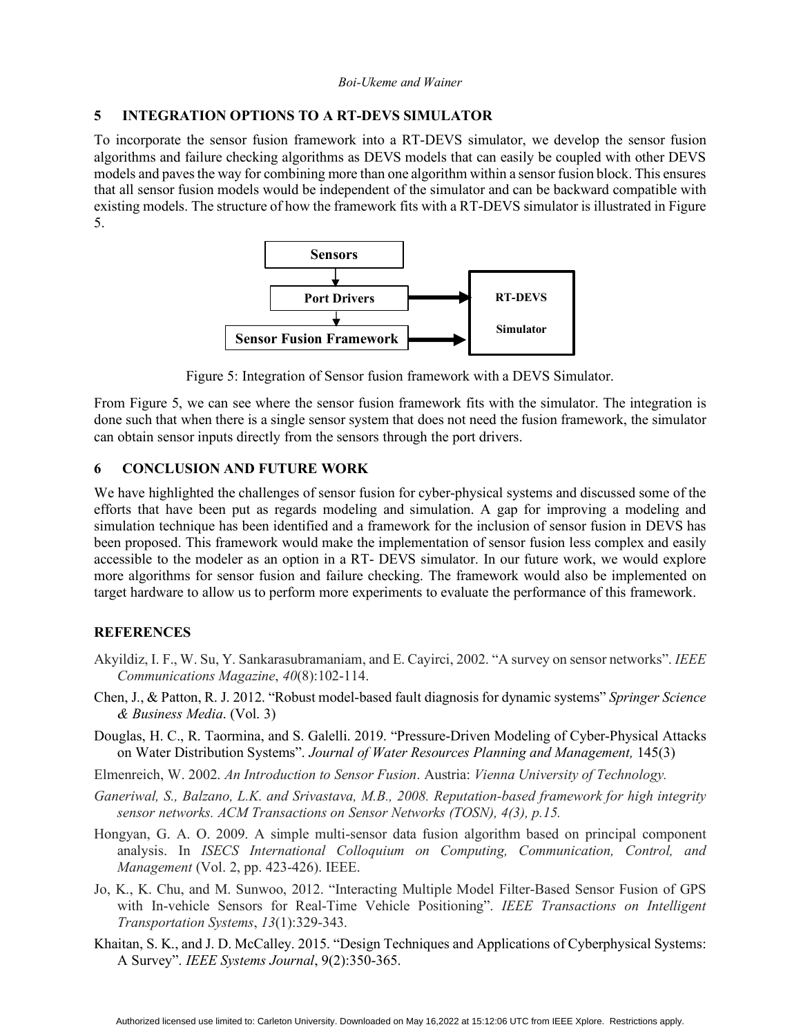# **5 INTEGRATION OPTIONS TO A RT-DEVS SIMULATOR**

To incorporate the sensor fusion framework into a RT-DEVS simulator, we develop the sensor fusion algorithms and failure checking algorithms as DEVS models that can easily be coupled with other DEVS models and paves the way for combining more than one algorithm within a sensor fusion block. This ensures that all sensor fusion models would be independent of the simulator and can be backward compatible with existing models. The structure of how the framework fits with a RT-DEVS simulator is illustrated in Figure 5.



Figure 5: Integration of Sensor fusion framework with a DEVS Simulator.

From Figure 5, we can see where the sensor fusion framework fits with the simulator. The integration is done such that when there is a single sensor system that does not need the fusion framework, the simulator can obtain sensor inputs directly from the sensors through the port drivers.

# **6 CONCLUSION AND FUTURE WORK**

We have highlighted the challenges of sensor fusion for cyber-physical systems and discussed some of the efforts that have been put as regards modeling and simulation. A gap for improving a modeling and simulation technique has been identified and a framework for the inclusion of sensor fusion in DEVS has been proposed. This framework would make the implementation of sensor fusion less complex and easily accessible to the modeler as an option in a RT- DEVS simulator. In our future work, we would explore more algorithms for sensor fusion and failure checking. The framework would also be implemented on target hardware to allow us to perform more experiments to evaluate the performance of this framework.

# **REFERENCES**

- Akyildiz, I. F., W. Su, Y. Sankarasubramaniam, and E. Cayirci, 2002. "A survey on sensor networks". *IEEE Communications Magazine*, *40*(8):102-114.
- Chen, J., & Patton, R. J. 2012. "Robust model-based fault diagnosis for dynamic systems" *Springer Science & Business Media*. (Vol. 3)
- Douglas, H. C., R. Taormina, and S. Galelli. 2019. "Pressure-Driven Modeling of Cyber-Physical Attacks on Water Distribution Systems". *Journal of Water Resources Planning and Management,* 145(3)
- Elmenreich, W. 2002. *An Introduction to Sensor Fusion*. Austria: *Vienna University of Technology.*
- *Ganeriwal, S., Balzano, L.K. and Srivastava, M.B., 2008. Reputation-based framework for high integrity sensor networks. ACM Transactions on Sensor Networks (TOSN), 4(3), p.15.*
- Hongyan, G. A. O. 2009. A simple multi-sensor data fusion algorithm based on principal component analysis. In *ISECS International Colloquium on Computing, Communication, Control, and Management* (Vol. 2, pp. 423-426). IEEE.
- Jo, K., K. Chu, and M. Sunwoo, 2012. "Interacting Multiple Model Filter-Based Sensor Fusion of GPS with In-vehicle Sensors for Real-Time Vehicle Positioning". *IEEE Transactions on Intelligent Transportation Systems*, *13*(1):329-343.
- Khaitan, S. K., and J. D. McCalley. 2015. "Design Techniques and Applications of Cyberphysical Systems: A Survey". *IEEE Systems Journal*, 9(2):350-365.